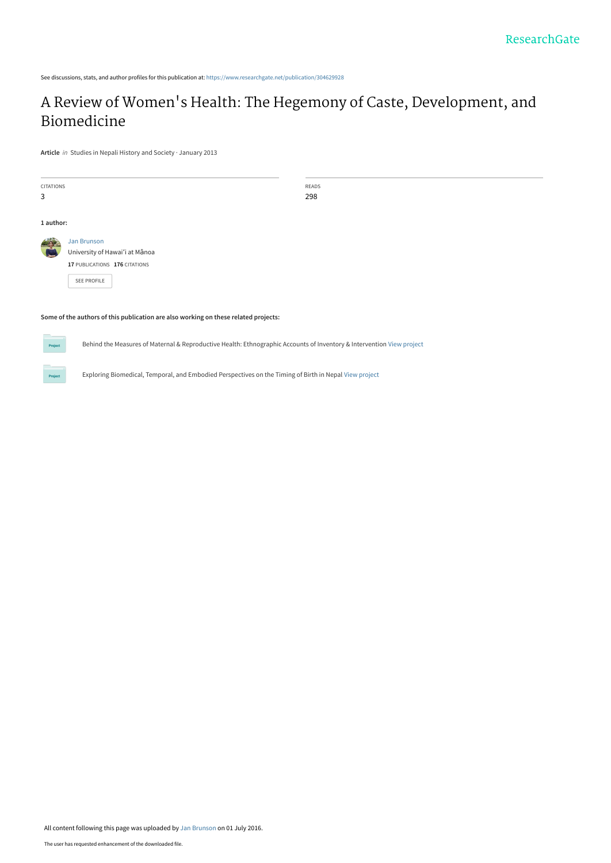See discussions, stats, and author profiles for this publication at: [https://www.researchgate.net/publication/304629928](https://www.researchgate.net/publication/304629928_A_Review_of_Women%27s_Health_The_Hegemony_of_Caste_Development_and_Biomedicine?enrichId=rgreq-4aad158e6ae34abc2c5e41624df94004-XXX&enrichSource=Y292ZXJQYWdlOzMwNDYyOTkyODtBUzozNzg4Mzk4MDE4NDM3MTJAMTQ2NzMzMzg1NTA1MQ%3D%3D&el=1_x_2&_esc=publicationCoverPdf)

# A Review of Women['s Health: The Hegemony of Caste, Development, and](https://www.researchgate.net/publication/304629928_A_Review_of_Women%27s_Health_The_Hegemony_of_Caste_Development_and_Biomedicine?enrichId=rgreq-4aad158e6ae34abc2c5e41624df94004-XXX&enrichSource=Y292ZXJQYWdlOzMwNDYyOTkyODtBUzozNzg4Mzk4MDE4NDM3MTJAMTQ2NzMzMzg1NTA1MQ%3D%3D&el=1_x_3&_esc=publicationCoverPdf) Biomedicine

**Article** in Studies in Nepali History and Society · January 2013

| CITATIONS |                                | READS |
|-----------|--------------------------------|-------|
| 3         |                                | 298   |
|           |                                |       |
| 1 author: |                                |       |
| $-4$      | Jan Brunson                    |       |
|           | University of Hawai'i at Mānoa |       |
|           | 17 PUBLICATIONS 176 CITATIONS  |       |
|           | SEE PROFILE                    |       |
|           |                                |       |
|           |                                |       |

**Some of the authors of this publication are also working on these related projects:**

Behind the Measures of Maternal & Reproductive Health: Ethnographic Accounts of Inventory & Intervention [View project](https://www.researchgate.net/project/Behind-the-Measures-of-Maternal-Reproductive-Health-Ethnographic-Accounts-of-Inventory-Intervention?enrichId=rgreq-4aad158e6ae34abc2c5e41624df94004-XXX&enrichSource=Y292ZXJQYWdlOzMwNDYyOTkyODtBUzozNzg4Mzk4MDE4NDM3MTJAMTQ2NzMzMzg1NTA1MQ%3D%3D&el=1_x_9&_esc=publicationCoverPdf)

Exploring Biomedical, Temporal, and Embodied Perspectives on the Timing of Birth in Nepal [View project](https://www.researchgate.net/project/Exploring-Biomedical-Temporal-and-Embodied-Perspectives-on-the-Timing-of-Birth-in-Nepal?enrichId=rgreq-4aad158e6ae34abc2c5e41624df94004-XXX&enrichSource=Y292ZXJQYWdlOzMwNDYyOTkyODtBUzozNzg4Mzk4MDE4NDM3MTJAMTQ2NzMzMzg1NTA1MQ%3D%3D&el=1_x_9&_esc=publicationCoverPdf)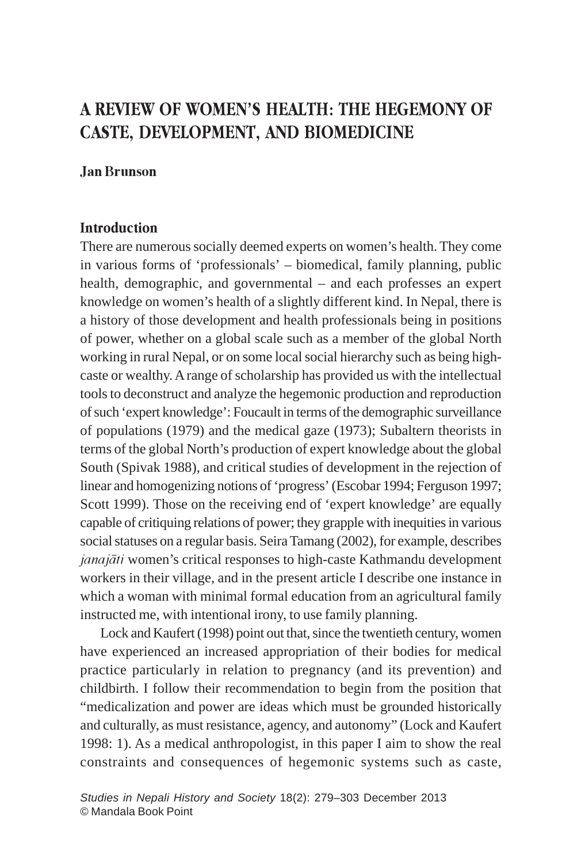## A REVIEW OF WOMEN'S HEALTH: THE HEGEMONY OF CASTE, DEVELOPMENT, AND BIOMEDICINE

## Jan Brunson

## **Introduction**

There are numerous socially deemed experts on women's health. They come in various forms of 'professionals' – biomedical, family planning, public health, demographic, and governmental – and each professes an expert knowledge on women's health of a slightly different kind. In Nepal, there is a history of those development and health professionals being in positions of power, whether on a global scale such as a member of the global North working in rural Nepal, or on some local social hierarchy such as being highcaste or wealthy. A range of scholarship has provided us with the intellectual tools to deconstruct and analyze the hegemonic production and reproduction of such 'expert knowledge': Foucault in terms of the demographic surveillance of populations (1979) and the medical gaze (1973); Subaltern theorists in terms of the global North's production of expert knowledge about the global South (Spivak 1988), and critical studies of development in the rejection of linear and homogenizing notions of 'progress' (Escobar 1994; Ferguson 1997; Scott 1999). Those on the receiving end of 'expert knowledge' are equally capable of critiquing relations of power; they grapple with inequities in various social statuses on a regular basis. Seira Tamang (2002), for example, describes janajāti women's critical responses to high-caste Kathmandu development workers in their village, and in the present article I describe one instance in which a woman with minimal formal education from an agricultural family instructed me, with intentional irony, to use family planning.

Lock and Kaufert (1998) point out that, since the twentieth century, women have experienced an increased appropriation of their bodies for medical practice particularly in relation to pregnancy (and its prevention) and childbirth. I follow their recommendation to begin from the position that "medicalization and power are ideas which must be grounded historically and culturally, as must resistance, agency, and autonomy" (Lock and Kaufert 1998: 1). As a medical anthropologist, in this paper I aim to show the real constraints and consequences of hegemonic systems such as caste,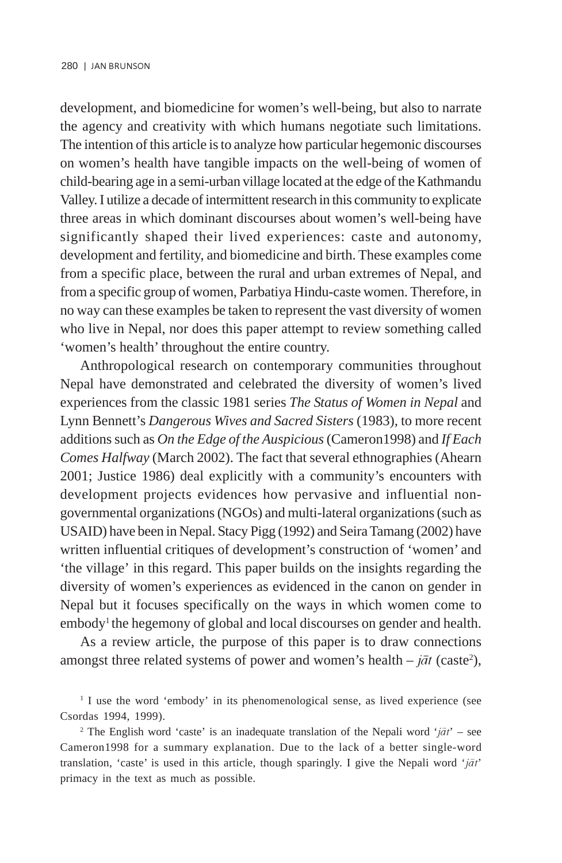development, and biomedicine for women's well-being, but also to narrate the agency and creativity with which humans negotiate such limitations. The intention of this article is to analyze how particular hegemonic discourses on women's health have tangible impacts on the well-being of women of child-bearing age in a semi-urban village located at the edge of the Kathmandu Valley. I utilize a decade of intermittent research in this community to explicate three areas in which dominant discourses about women's well-being have significantly shaped their lived experiences: caste and autonomy, development and fertility, and biomedicine and birth. These examples come from a specific place, between the rural and urban extremes of Nepal, and from a specific group of women, Parbatiya Hindu-caste women. Therefore, in no way can these examples be taken to represent the vast diversity of women who live in Nepal, nor does this paper attempt to review something called 'women's health' throughout the entire country.

Anthropological research on contemporary communities throughout Nepal have demonstrated and celebrated the diversity of women's lived experiences from the classic 1981 series *The Status of Women in Nepal* and Lynn Bennett's *Dangerous Wives and Sacred Sisters* (1983)*,* to more recent additions such as *On the Edge of the Auspicious* (Cameron1998) and *If Each Comes Halfway* (March 2002). The fact that several ethnographies (Ahearn 2001; Justice 1986) deal explicitly with a community's encounters with development projects evidences how pervasive and influential nongovernmental organizations (NGOs) and multi-lateral organizations (such as USAID) have been in Nepal. Stacy Pigg (1992) and Seira Tamang (2002) have written influential critiques of development's construction of 'women' and 'the village' in this regard. This paper builds on the insights regarding the diversity of women's experiences as evidenced in the canon on gender in Nepal but it focuses specifically on the ways in which women come to embody<sup>1</sup> the hegemony of global and local discourses on gender and health.

As a review article, the purpose of this paper is to draw connections amongst three related systems of power and women's health  $- j \bar{a} t$  (caste<sup>2</sup>),

<sup>&</sup>lt;sup>1</sup> I use the word 'embody' in its phenomenological sense, as lived experience (see Csordas 1994, 1999).

<sup>&</sup>lt;sup>2</sup> The English word 'caste' is an inadequate translation of the Nepali word ' $j\bar{a}t$ ' – see Cameron1998 for a summary explanation. Due to the lack of a better single-word translation, 'caste' is used in this article, though sparingly. I give the Nepali word ' $j\bar{a}t$ ' primacy in the text as much as possible.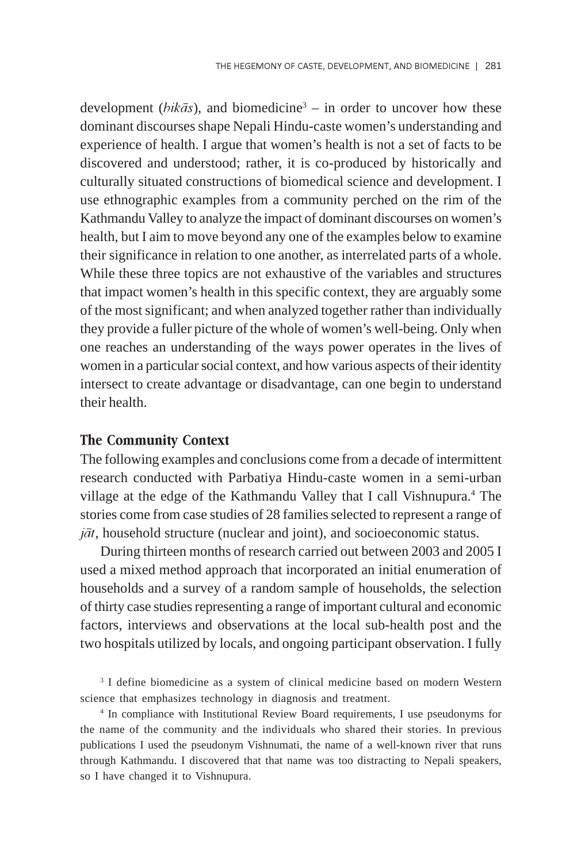development (*bikās*), and biomedicine<sup>3</sup> – in order to uncover how these dominant discourses shape Nepali Hindu-caste women's understanding and experience of health. I argue that women's health is not a set of facts to be discovered and understood; rather, it is co-produced by historically and culturally situated constructions of biomedical science and development. I use ethnographic examples from a community perched on the rim of the Kathmandu Valley to analyze the impact of dominant discourses on women's health, but I aim to move beyond any one of the examples below to examine their significance in relation to one another, as interrelated parts of a whole. While these three topics are not exhaustive of the variables and structures that impact women's health in this specific context, they are arguably some of the most significant; and when analyzed together rather than individually they provide a fuller picture of the whole of women's well-being. Only when one reaches an understanding of the ways power operates in the lives of women in a particular social context, and how various aspects of their identity intersect to create advantage or disadvantage, can one begin to understand their health.

#### The Community Context

The following examples and conclusions come from a decade of intermittent research conducted with Parbatiya Hindu-caste women in a semi-urban village at the edge of the Kathmandu Valley that I call Vishnupura.<sup>4</sup> The stories come from case studies of 28 families selected to represent a range of  $j\bar{a}t$ , household structure (nuclear and joint), and socioeconomic status.

During thirteen months of research carried out between 2003 and 2005 I used a mixed method approach that incorporated an initial enumeration of households and a survey of a random sample of households, the selection of thirty case studies representing a range of important cultural and economic factors, interviews and observations at the local sub-health post and the two hospitals utilized by locals, and ongoing participant observation. I fully

<sup>3</sup> I define biomedicine as a system of clinical medicine based on modern Western science that emphasizes technology in diagnosis and treatment.

4 In compliance with Institutional Review Board requirements, I use pseudonyms for the name of the community and the individuals who shared their stories. In previous publications I used the pseudonym Vishnumati, the name of a well-known river that runs through Kathmandu. I discovered that that name was too distracting to Nepali speakers, so I have changed it to Vishnupura.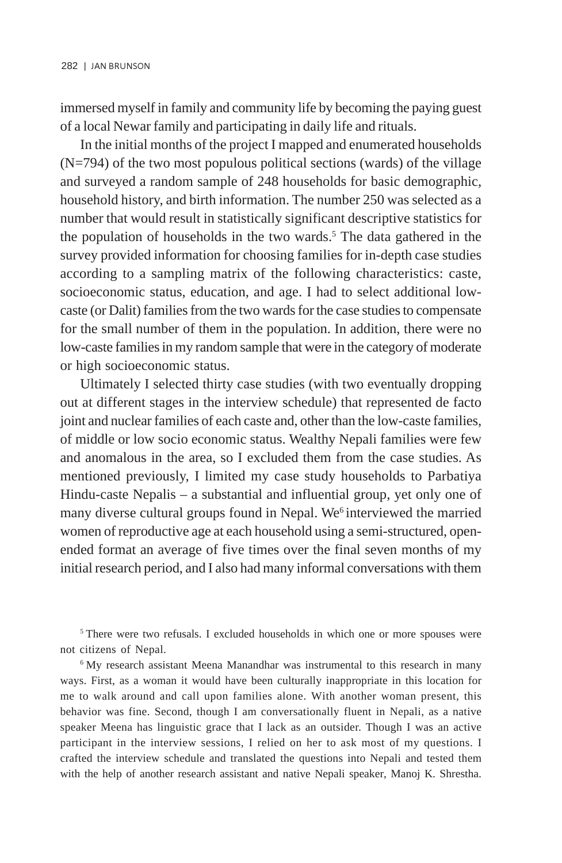immersed myself in family and community life by becoming the paying guest of a local Newar family and participating in daily life and rituals.

In the initial months of the project I mapped and enumerated households  $(N=794)$  of the two most populous political sections (wards) of the village and surveyed a random sample of 248 households for basic demographic, household history, and birth information. The number 250 was selected as a number that would result in statistically significant descriptive statistics for the population of households in the two wards.<sup>5</sup> The data gathered in the survey provided information for choosing families for in-depth case studies according to a sampling matrix of the following characteristics: caste, socioeconomic status, education, and age. I had to select additional lowcaste (or Dalit) families from the two wards for the case studies to compensate for the small number of them in the population. In addition, there were no low-caste families in my random sample that were in the category of moderate or high socioeconomic status.

Ultimately I selected thirty case studies (with two eventually dropping out at different stages in the interview schedule) that represented de facto joint and nuclear families of each caste and, other than the low-caste families, of middle or low socio economic status. Wealthy Nepali families were few and anomalous in the area, so I excluded them from the case studies. As mentioned previously, I limited my case study households to Parbatiya Hindu-caste Nepalis – a substantial and influential group, yet only one of many diverse cultural groups found in Nepal. We<sup>6</sup> interviewed the married women of reproductive age at each household using a semi-structured, openended format an average of five times over the final seven months of my initial research period, and I also had many informal conversations with them

<sup>5</sup> There were two refusals. I excluded households in which one or more spouses were not citizens of Nepal.

<sup>6</sup> My research assistant Meena Manandhar was instrumental to this research in many ways. First, as a woman it would have been culturally inappropriate in this location for me to walk around and call upon families alone. With another woman present, this behavior was fine. Second, though I am conversationally fluent in Nepali, as a native speaker Meena has linguistic grace that I lack as an outsider. Though I was an active participant in the interview sessions, I relied on her to ask most of my questions. I crafted the interview schedule and translated the questions into Nepali and tested them with the help of another research assistant and native Nepali speaker, Manoj K. Shrestha.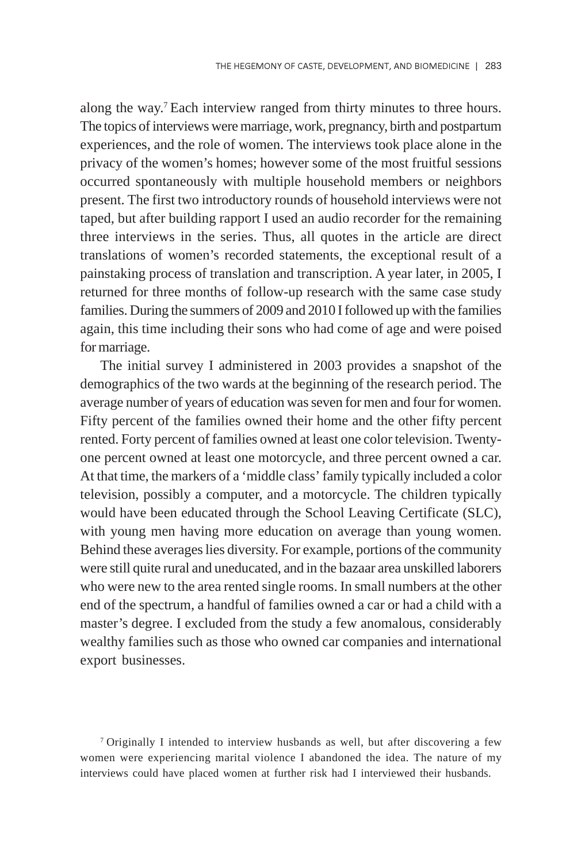along the way.7 Each interview ranged from thirty minutes to three hours. The topics of interviews were marriage, work, pregnancy, birth and postpartum experiences, and the role of women. The interviews took place alone in the privacy of the women's homes; however some of the most fruitful sessions occurred spontaneously with multiple household members or neighbors present. The first two introductory rounds of household interviews were not taped, but after building rapport I used an audio recorder for the remaining three interviews in the series. Thus, all quotes in the article are direct translations of women's recorded statements, the exceptional result of a painstaking process of translation and transcription. A year later, in 2005, I returned for three months of follow-up research with the same case study families. During the summers of 2009 and 2010 I followed up with the families again, this time including their sons who had come of age and were poised for marriage.

The initial survey I administered in 2003 provides a snapshot of the demographics of the two wards at the beginning of the research period. The average number of years of education was seven for men and four for women. Fifty percent of the families owned their home and the other fifty percent rented. Forty percent of families owned at least one color television. Twentyone percent owned at least one motorcycle, and three percent owned a car. At that time, the markers of a 'middle class' family typically included a color television, possibly a computer, and a motorcycle. The children typically would have been educated through the School Leaving Certificate (SLC), with young men having more education on average than young women. Behind these averages lies diversity. For example, portions of the community were still quite rural and uneducated, and in the bazaar area unskilled laborers who were new to the area rented single rooms. In small numbers at the other end of the spectrum, a handful of families owned a car or had a child with a master's degree. I excluded from the study a few anomalous, considerably wealthy families such as those who owned car companies and international export businesses.

7 Originally I intended to interview husbands as well, but after discovering a few women were experiencing marital violence I abandoned the idea. The nature of my interviews could have placed women at further risk had I interviewed their husbands.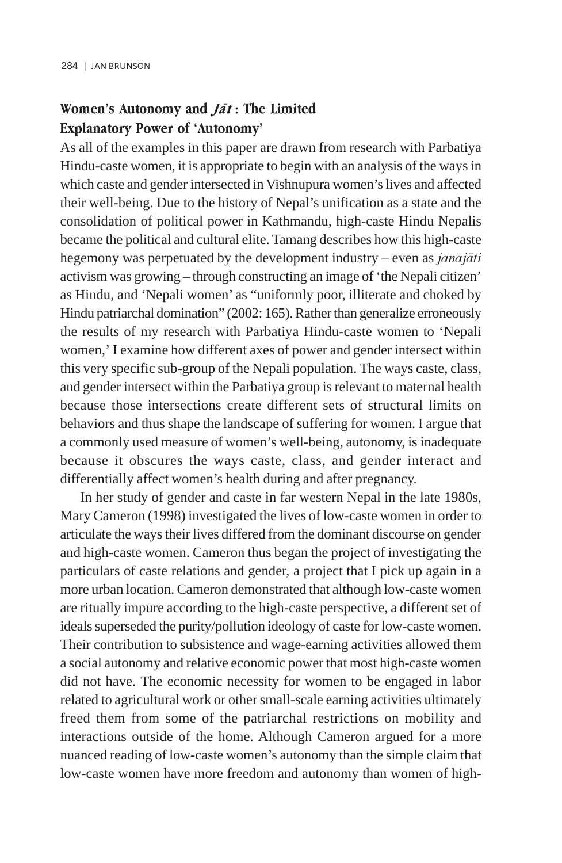## Women's Autonomy and  $J\bar{a}t$  : The Limited Explanatory Power of 'Autonomy'

As all of the examples in this paper are drawn from research with Parbatiya Hindu-caste women, it is appropriate to begin with an analysis of the ways in which caste and gender intersected in Vishnupura women's lives and affected their well-being. Due to the history of Nepal's unification as a state and the consolidation of political power in Kathmandu, high-caste Hindu Nepalis became the political and cultural elite. Tamang describes how this high-caste hegemony was perpetuated by the development industry – even as *janajāti* activism was growing – through constructing an image of 'the Nepali citizen' as Hindu, and 'Nepali women' as "uniformly poor, illiterate and choked by Hindu patriarchal domination" (2002: 165). Rather than generalize erroneously the results of my research with Parbatiya Hindu-caste women to 'Nepali women,' I examine how different axes of power and gender intersect within this very specific sub-group of the Nepali population. The ways caste, class, and gender intersect within the Parbatiya group is relevant to maternal health because those intersections create different sets of structural limits on behaviors and thus shape the landscape of suffering for women. I argue that a commonly used measure of women's well-being, autonomy, is inadequate because it obscures the ways caste, class, and gender interact and differentially affect women's health during and after pregnancy.

In her study of gender and caste in far western Nepal in the late 1980s, Mary Cameron (1998) investigated the lives of low-caste women in order to articulate the ways their lives differed from the dominant discourse on gender and high-caste women. Cameron thus began the project of investigating the particulars of caste relations and gender, a project that I pick up again in a more urban location. Cameron demonstrated that although low-caste women are ritually impure according to the high-caste perspective, a different set of ideals superseded the purity/pollution ideology of caste for low-caste women. Their contribution to subsistence and wage-earning activities allowed them a social autonomy and relative economic power that most high-caste women did not have. The economic necessity for women to be engaged in labor related to agricultural work or other small-scale earning activities ultimately freed them from some of the patriarchal restrictions on mobility and interactions outside of the home. Although Cameron argued for a more nuanced reading of low-caste women's autonomy than the simple claim that low-caste women have more freedom and autonomy than women of high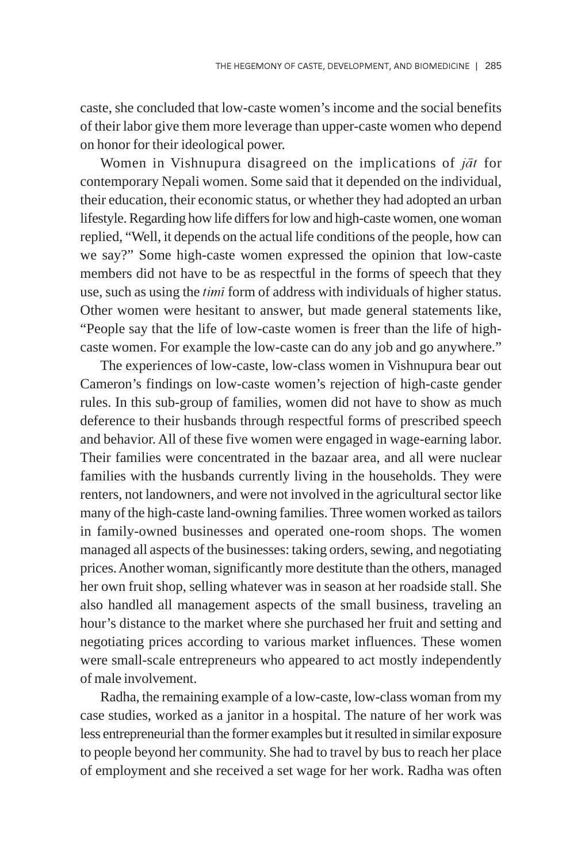caste, she concluded that low-caste women's income and the social benefits of their labor give them more leverage than upper-caste women who depend on honor for their ideological power.

Women in Vishnupura disagreed on the implications of  $i\bar{a}t$  for contemporary Nepali women. Some said that it depended on the individual, their education, their economic status, or whether they had adopted an urban lifestyle. Regarding how life differs for low and high-caste women, one woman replied, "Well, it depends on the actual life conditions of the people, how can we say?" Some high-caste women expressed the opinion that low-caste members did not have to be as respectful in the forms of speech that they use, such as using the *timi* form of address with individuals of higher status. Other women were hesitant to answer, but made general statements like, "People say that the life of low-caste women is freer than the life of highcaste women. For example the low-caste can do any job and go anywhere."

The experiences of low-caste, low-class women in Vishnupura bear out Cameron's findings on low-caste women's rejection of high-caste gender rules. In this sub-group of families, women did not have to show as much deference to their husbands through respectful forms of prescribed speech and behavior. All of these five women were engaged in wage-earning labor. Their families were concentrated in the bazaar area, and all were nuclear families with the husbands currently living in the households. They were renters, not landowners, and were not involved in the agricultural sector like many of the high-caste land-owning families. Three women worked as tailors in family-owned businesses and operated one-room shops. The women managed all aspects of the businesses: taking orders, sewing, and negotiating prices. Another woman, significantly more destitute than the others, managed her own fruit shop, selling whatever was in season at her roadside stall. She also handled all management aspects of the small business, traveling an hour's distance to the market where she purchased her fruit and setting and negotiating prices according to various market influences. These women were small-scale entrepreneurs who appeared to act mostly independently of male involvement.

Radha, the remaining example of a low-caste, low-class woman from my case studies, worked as a janitor in a hospital. The nature of her work was less entrepreneurial than the former examples but it resulted in similar exposure to people beyond her community. She had to travel by bus to reach her place of employment and she received a set wage for her work. Radha was often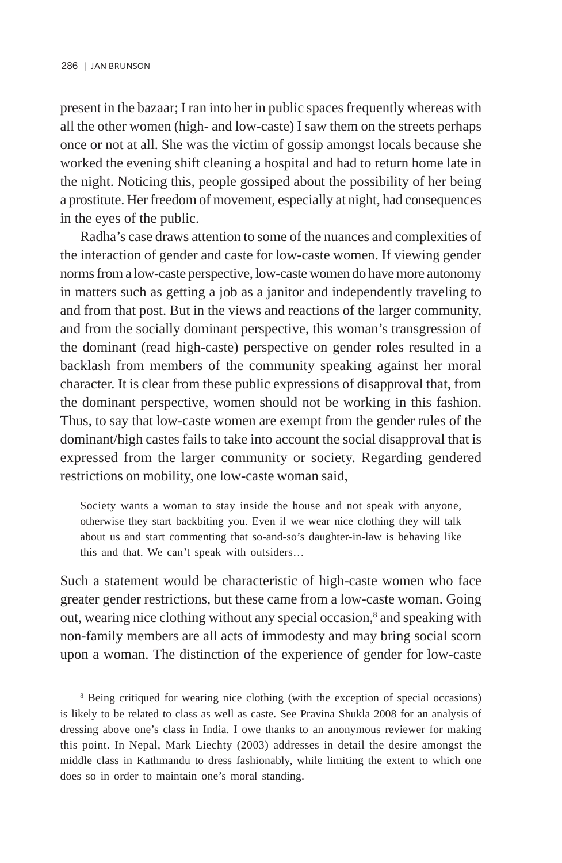present in the bazaar; I ran into her in public spaces frequently whereas with all the other women (high- and low-caste) I saw them on the streets perhaps once or not at all. She was the victim of gossip amongst locals because she worked the evening shift cleaning a hospital and had to return home late in the night. Noticing this, people gossiped about the possibility of her being a prostitute. Her freedom of movement, especially at night, had consequences in the eyes of the public.

Radha's case draws attention to some of the nuances and complexities of the interaction of gender and caste for low-caste women. If viewing gender norms from a low-caste perspective, low-caste women do have more autonomy in matters such as getting a job as a janitor and independently traveling to and from that post. But in the views and reactions of the larger community, and from the socially dominant perspective, this woman's transgression of the dominant (read high-caste) perspective on gender roles resulted in a backlash from members of the community speaking against her moral character. It is clear from these public expressions of disapproval that, from the dominant perspective, women should not be working in this fashion. Thus, to say that low-caste women are exempt from the gender rules of the dominant/high castes fails to take into account the social disapproval that is expressed from the larger community or society. Regarding gendered restrictions on mobility, one low-caste woman said,

Society wants a woman to stay inside the house and not speak with anyone, otherwise they start backbiting you. Even if we wear nice clothing they will talk about us and start commenting that so-and-so's daughter-in-law is behaving like this and that. We can't speak with outsiders…

Such a statement would be characteristic of high-caste women who face greater gender restrictions, but these came from a low-caste woman. Going out, wearing nice clothing without any special occasion,<sup>8</sup> and speaking with non-family members are all acts of immodesty and may bring social scorn upon a woman. The distinction of the experience of gender for low-caste

8 Being critiqued for wearing nice clothing (with the exception of special occasions) is likely to be related to class as well as caste. See Pravina Shukla 2008 for an analysis of dressing above one's class in India. I owe thanks to an anonymous reviewer for making this point. In Nepal, Mark Liechty (2003) addresses in detail the desire amongst the middle class in Kathmandu to dress fashionably, while limiting the extent to which one does so in order to maintain one's moral standing.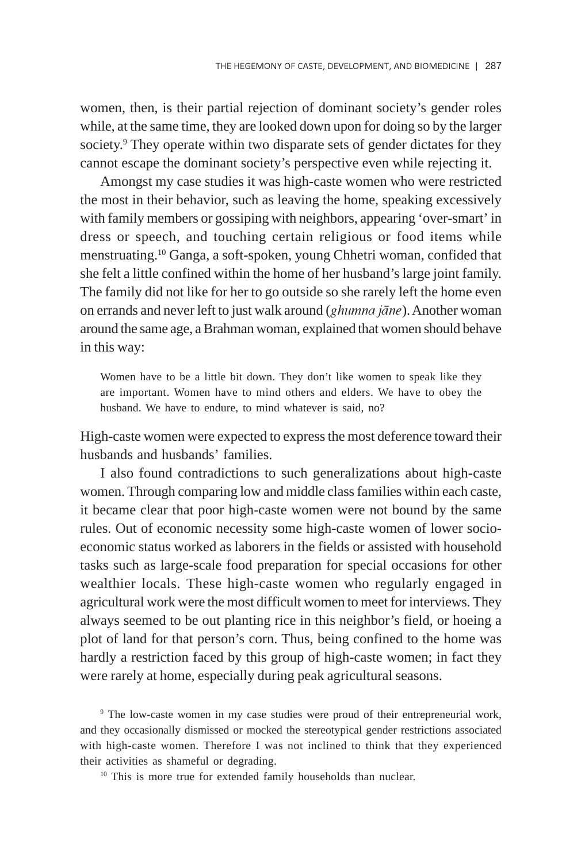women, then, is their partial rejection of dominant society's gender roles while, at the same time, they are looked down upon for doing so by the larger society.<sup>9</sup> They operate within two disparate sets of gender dictates for they cannot escape the dominant society's perspective even while rejecting it.

Amongst my case studies it was high-caste women who were restricted the most in their behavior, such as leaving the home, speaking excessively with family members or gossiping with neighbors, appearing 'over-smart' in dress or speech, and touching certain religious or food items while menstruating.10 Ganga, a soft-spoken, young Chhetri woman, confided that she felt a little confined within the home of her husband's large joint family. The family did not like for her to go outside so she rarely left the home even on errands and never left to just walk around (*ghumna jāne*). Another woman around the same age, a Brahman woman, explained that women should behave in this way:

Women have to be a little bit down. They don't like women to speak like they are important. Women have to mind others and elders. We have to obey the husband. We have to endure, to mind whatever is said, no?

High-caste women were expected to express the most deference toward their husbands and husbands' families.

I also found contradictions to such generalizations about high-caste women. Through comparing low and middle class families within each caste, it became clear that poor high-caste women were not bound by the same rules. Out of economic necessity some high-caste women of lower socioeconomic status worked as laborers in the fields or assisted with household tasks such as large-scale food preparation for special occasions for other wealthier locals. These high-caste women who regularly engaged in agricultural work were the most difficult women to meet for interviews. They always seemed to be out planting rice in this neighbor's field, or hoeing a plot of land for that person's corn. Thus, being confined to the home was hardly a restriction faced by this group of high-caste women; in fact they were rarely at home, especially during peak agricultural seasons.

<sup>9</sup> The low-caste women in my case studies were proud of their entrepreneurial work, and they occasionally dismissed or mocked the stereotypical gender restrictions associated with high-caste women. Therefore I was not inclined to think that they experienced their activities as shameful or degrading.

<sup>10</sup> This is more true for extended family households than nuclear.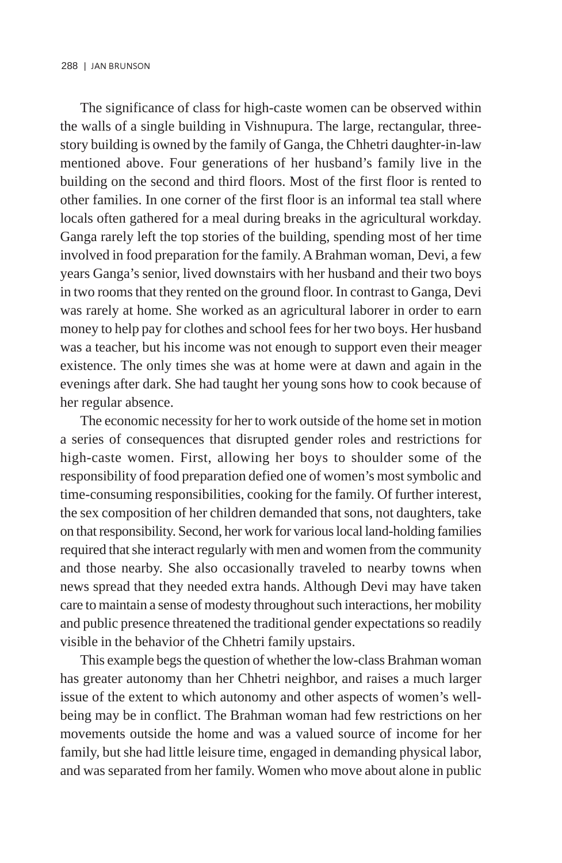The significance of class for high-caste women can be observed within the walls of a single building in Vishnupura. The large, rectangular, threestory building is owned by the family of Ganga, the Chhetri daughter-in-law mentioned above. Four generations of her husband's family live in the building on the second and third floors. Most of the first floor is rented to other families. In one corner of the first floor is an informal tea stall where locals often gathered for a meal during breaks in the agricultural workday. Ganga rarely left the top stories of the building, spending most of her time involved in food preparation for the family. A Brahman woman, Devi, a few years Ganga's senior, lived downstairs with her husband and their two boys in two rooms that they rented on the ground floor. In contrast to Ganga, Devi was rarely at home. She worked as an agricultural laborer in order to earn money to help pay for clothes and school fees for her two boys. Her husband was a teacher, but his income was not enough to support even their meager existence. The only times she was at home were at dawn and again in the evenings after dark. She had taught her young sons how to cook because of her regular absence.

The economic necessity for her to work outside of the home set in motion a series of consequences that disrupted gender roles and restrictions for high-caste women. First, allowing her boys to shoulder some of the responsibility of food preparation defied one of women's most symbolic and time-consuming responsibilities, cooking for the family. Of further interest, the sex composition of her children demanded that sons, not daughters, take on that responsibility. Second, her work for various local land-holding families required that she interact regularly with men and women from the community and those nearby. She also occasionally traveled to nearby towns when news spread that they needed extra hands. Although Devi may have taken care to maintain a sense of modesty throughout such interactions, her mobility and public presence threatened the traditional gender expectations so readily visible in the behavior of the Chhetri family upstairs.

This example begs the question of whether the low-class Brahman woman has greater autonomy than her Chhetri neighbor, and raises a much larger issue of the extent to which autonomy and other aspects of women's wellbeing may be in conflict. The Brahman woman had few restrictions on her movements outside the home and was a valued source of income for her family, but she had little leisure time, engaged in demanding physical labor, and was separated from her family. Women who move about alone in public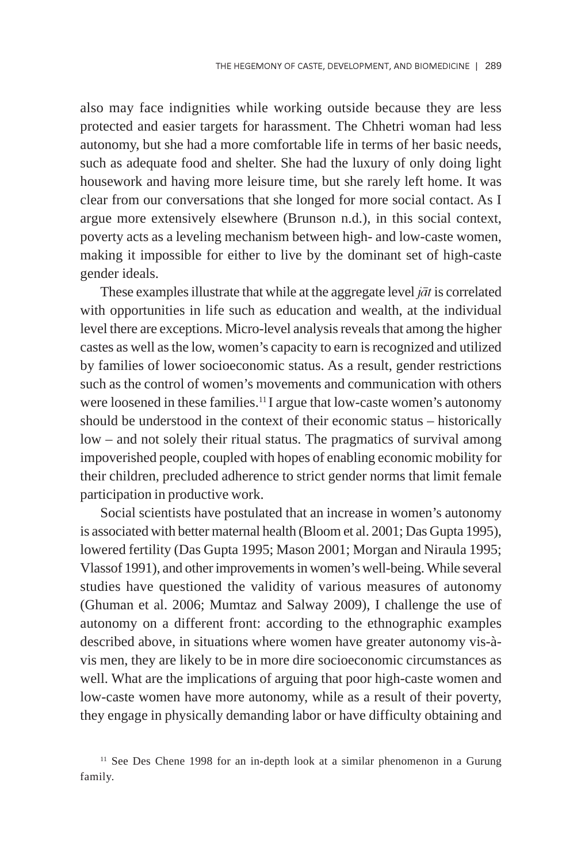also may face indignities while working outside because they are less protected and easier targets for harassment. The Chhetri woman had less autonomy, but she had a more comfortable life in terms of her basic needs, such as adequate food and shelter. She had the luxury of only doing light housework and having more leisure time, but she rarely left home. It was clear from our conversations that she longed for more social contact. As I argue more extensively elsewhere (Brunson n.d.), in this social context, poverty acts as a leveling mechanism between high- and low-caste women, making it impossible for either to live by the dominant set of high-caste gender ideals.

These examples illustrate that while at the aggregate level  $j\bar{a}t$  is correlated with opportunities in life such as education and wealth, at the individual level there are exceptions. Micro-level analysis reveals that among the higher castes as well as the low, women's capacity to earn is recognized and utilized by families of lower socioeconomic status. As a result, gender restrictions such as the control of women's movements and communication with others were loosened in these families.<sup>11</sup>I argue that low-caste women's autonomy should be understood in the context of their economic status – historically low – and not solely their ritual status. The pragmatics of survival among impoverished people, coupled with hopes of enabling economic mobility for their children, precluded adherence to strict gender norms that limit female participation in productive work.

Social scientists have postulated that an increase in women's autonomy is associated with better maternal health (Bloom et al. 2001; Das Gupta 1995), lowered fertility (Das Gupta 1995; Mason 2001; Morgan and Niraula 1995; Vlassof 1991), and other improvements in women's well-being. While several studies have questioned the validity of various measures of autonomy (Ghuman et al. 2006; Mumtaz and Salway 2009), I challenge the use of autonomy on a different front: according to the ethnographic examples described above, in situations where women have greater autonomy vis-àvis men, they are likely to be in more dire socioeconomic circumstances as well. What are the implications of arguing that poor high-caste women and low-caste women have more autonomy, while as a result of their poverty, they engage in physically demanding labor or have difficulty obtaining and

<sup>&</sup>lt;sup>11</sup> See Des Chene 1998 for an in-depth look at a similar phenomenon in a Gurung family.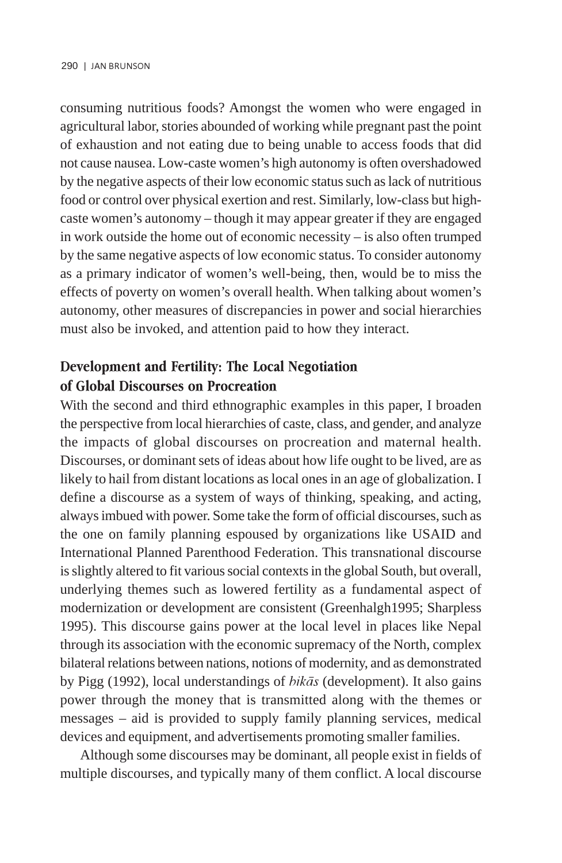consuming nutritious foods? Amongst the women who were engaged in agricultural labor, stories abounded of working while pregnant past the point of exhaustion and not eating due to being unable to access foods that did not cause nausea. Low-caste women's high autonomy is often overshadowed by the negative aspects of their low economic status such as lack of nutritious food or control over physical exertion and rest. Similarly, low-class but highcaste women's autonomy – though it may appear greater if they are engaged in work outside the home out of economic necessity – is also often trumped by the same negative aspects of low economic status. To consider autonomy as a primary indicator of women's well-being, then, would be to miss the effects of poverty on women's overall health. When talking about women's autonomy, other measures of discrepancies in power and social hierarchies must also be invoked, and attention paid to how they interact.

## Development and Fertility: The Local Negotiation of Global Discourses on Procreation

With the second and third ethnographic examples in this paper, I broaden the perspective from local hierarchies of caste, class, and gender, and analyze the impacts of global discourses on procreation and maternal health. Discourses, or dominant sets of ideas about how life ought to be lived, are as likely to hail from distant locations as local ones in an age of globalization. I define a discourse as a system of ways of thinking, speaking, and acting, always imbued with power. Some take the form of official discourses, such as the one on family planning espoused by organizations like USAID and International Planned Parenthood Federation. This transnational discourse is slightly altered to fit various social contexts in the global South, but overall, underlying themes such as lowered fertility as a fundamental aspect of modernization or development are consistent (Greenhalgh1995; Sharpless 1995). This discourse gains power at the local level in places like Nepal through its association with the economic supremacy of the North, complex bilateral relations between nations, notions of modernity, and as demonstrated by Pigg (1992), local understandings of  $bik\bar{a}s$  (development). It also gains power through the money that is transmitted along with the themes or messages – aid is provided to supply family planning services, medical devices and equipment, and advertisements promoting smaller families.

Although some discourses may be dominant, all people exist in fields of multiple discourses, and typically many of them conflict. A local discourse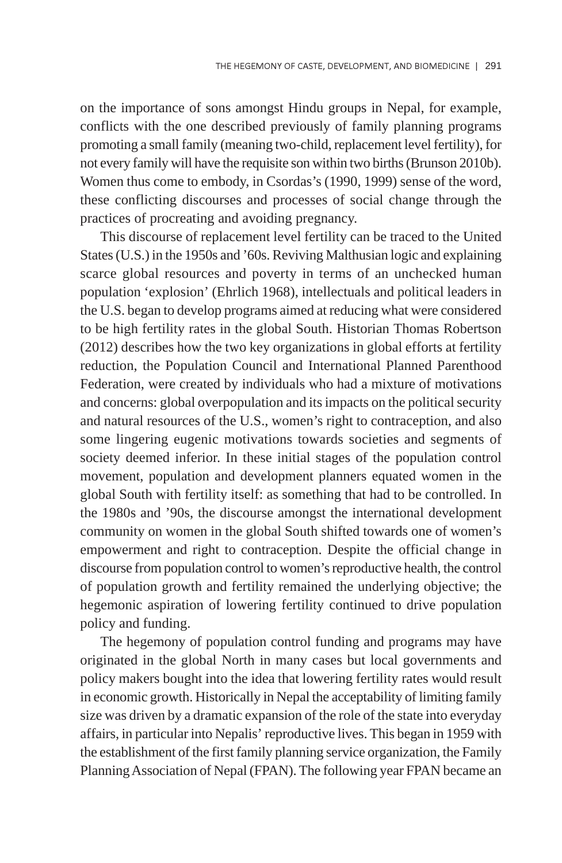on the importance of sons amongst Hindu groups in Nepal, for example, conflicts with the one described previously of family planning programs promoting a small family (meaning two-child, replacement level fertility), for not every family will have the requisite son within two births (Brunson 2010b). Women thus come to embody, in Csordas's (1990, 1999) sense of the word, these conflicting discourses and processes of social change through the practices of procreating and avoiding pregnancy.

This discourse of replacement level fertility can be traced to the United States (U.S.) in the 1950s and '60s. Reviving Malthusian logic and explaining scarce global resources and poverty in terms of an unchecked human population 'explosion' (Ehrlich 1968), intellectuals and political leaders in the U.S. began to develop programs aimed at reducing what were considered to be high fertility rates in the global South. Historian Thomas Robertson (2012) describes how the two key organizations in global efforts at fertility reduction, the Population Council and International Planned Parenthood Federation, were created by individuals who had a mixture of motivations and concerns: global overpopulation and its impacts on the political security and natural resources of the U.S., women's right to contraception, and also some lingering eugenic motivations towards societies and segments of society deemed inferior. In these initial stages of the population control movement, population and development planners equated women in the global South with fertility itself: as something that had to be controlled. In the 1980s and '90s, the discourse amongst the international development community on women in the global South shifted towards one of women's empowerment and right to contraception. Despite the official change in discourse from population control to women's reproductive health, the control of population growth and fertility remained the underlying objective; the hegemonic aspiration of lowering fertility continued to drive population policy and funding.

The hegemony of population control funding and programs may have originated in the global North in many cases but local governments and policy makers bought into the idea that lowering fertility rates would result in economic growth. Historically in Nepal the acceptability of limiting family size was driven by a dramatic expansion of the role of the state into everyday affairs, in particular into Nepalis' reproductive lives. This began in 1959 with the establishment of the first family planning service organization, the Family Planning Association of Nepal (FPAN). The following year FPAN became an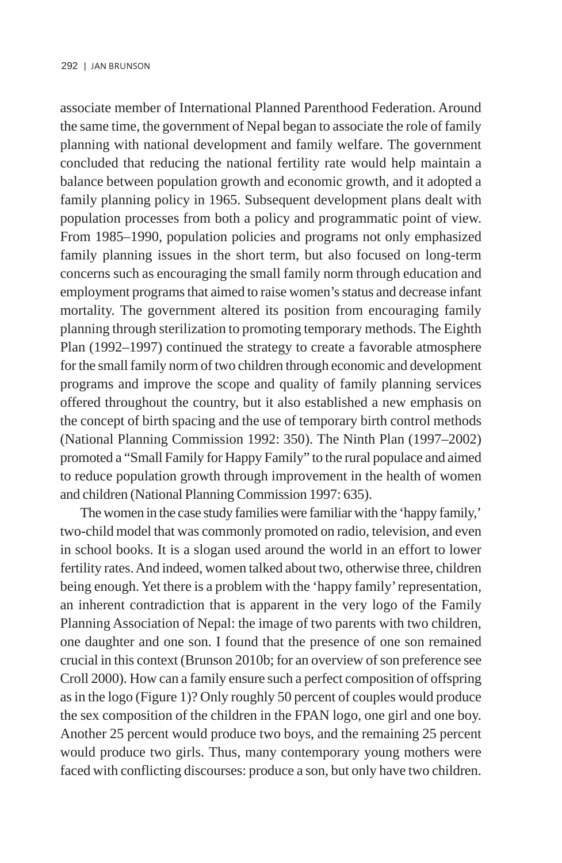associate member of International Planned Parenthood Federation. Around the same time, the government of Nepal began to associate the role of family planning with national development and family welfare. The government concluded that reducing the national fertility rate would help maintain a balance between population growth and economic growth, and it adopted a family planning policy in 1965. Subsequent development plans dealt with population processes from both a policy and programmatic point of view. From 1985–1990, population policies and programs not only emphasized family planning issues in the short term, but also focused on long-term concerns such as encouraging the small family norm through education and employment programs that aimed to raise women's status and decrease infant mortality. The government altered its position from encouraging family planning through sterilization to promoting temporary methods. The Eighth Plan (1992–1997) continued the strategy to create a favorable atmosphere for the small family norm of two children through economic and development programs and improve the scope and quality of family planning services offered throughout the country, but it also established a new emphasis on the concept of birth spacing and the use of temporary birth control methods (National Planning Commission 1992: 350). The Ninth Plan (1997–2002) promoted a "Small Family for Happy Family" to the rural populace and aimed to reduce population growth through improvement in the health of women and children (National Planning Commission 1997: 635).

The women in the case study families were familiar with the 'happy family,' two-child model that was commonly promoted on radio, television, and even in school books. It is a slogan used around the world in an effort to lower fertility rates. And indeed, women talked about two, otherwise three, children being enough. Yet there is a problem with the 'happy family' representation, an inherent contradiction that is apparent in the very logo of the Family Planning Association of Nepal: the image of two parents with two children, one daughter and one son. I found that the presence of one son remained crucial in this context (Brunson 2010b; for an overview of son preference see Croll 2000). How can a family ensure such a perfect composition of offspring as in the logo (Figure 1)? Only roughly 50 percent of couples would produce the sex composition of the children in the FPAN logo, one girl and one boy. Another 25 percent would produce two boys, and the remaining 25 percent would produce two girls. Thus, many contemporary young mothers were faced with conflicting discourses: produce a son, but only have two children.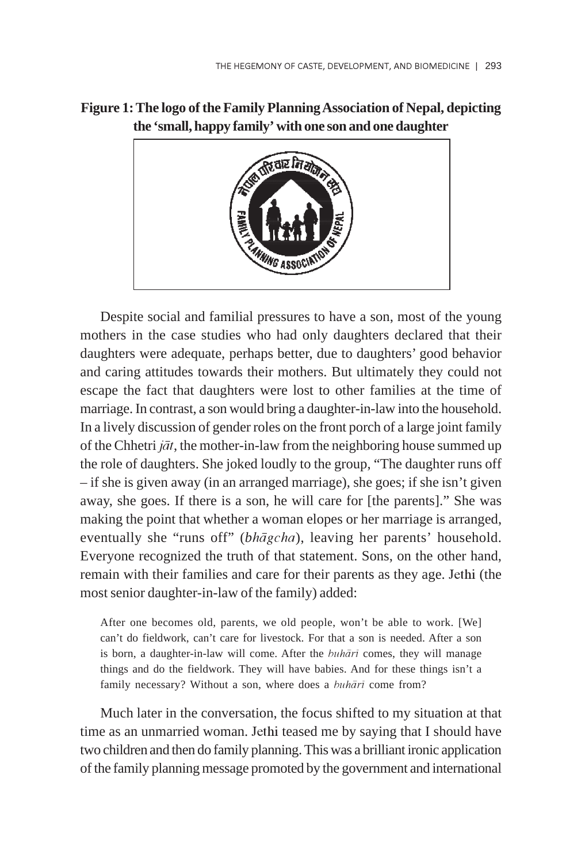

## **Figure 1: The logo of the Family Planning Association of Nepal, depicting the 'small, happy family' with one son and one daughter**

Despite social and familial pressures to have a son, most of the young mothers in the case studies who had only daughters declared that their daughters were adequate, perhaps better, due to daughters' good behavior and caring attitudes towards their mothers. But ultimately they could not escape the fact that daughters were lost to other families at the time of marriage. In contrast, a son would bring a daughter-in-law into the household. In a lively discussion of gender roles on the front porch of a large joint family of the Chhetri  $j\bar{a}t$ , the mother-in-law from the neighboring house summed up the role of daughters. She joked loudly to the group, "The daughter runs off – if she is given away (in an arranged marriage), she goes; if she isn't given away, she goes. If there is a son, he will care for [the parents]." She was making the point that whether a woman elopes or her marriage is arranged, eventually she "runs off" (*bhāgcha*), leaving her parents' household. Everyone recognized the truth of that statement. Sons, on the other hand, remain with their families and care for their parents as they age. Jethi (the most senior daughter-in-law of the family) added:

After one becomes old, parents, we old people, won't be able to work. [We] can't do fieldwork, can't care for livestock. For that a son is needed. After a son is born, a daughter-in-law will come. After the buhārī comes, they will manage things and do the fieldwork. They will have babies. And for these things isn't a family necessary? Without a son, where does a buhārī come from?

Much later in the conversation, the focus shifted to my situation at that time as an unmarried woman. Jethi teased me by saying that I should have two children and then do family planning. This was a brilliant ironic application of the family planning message promoted by the government and international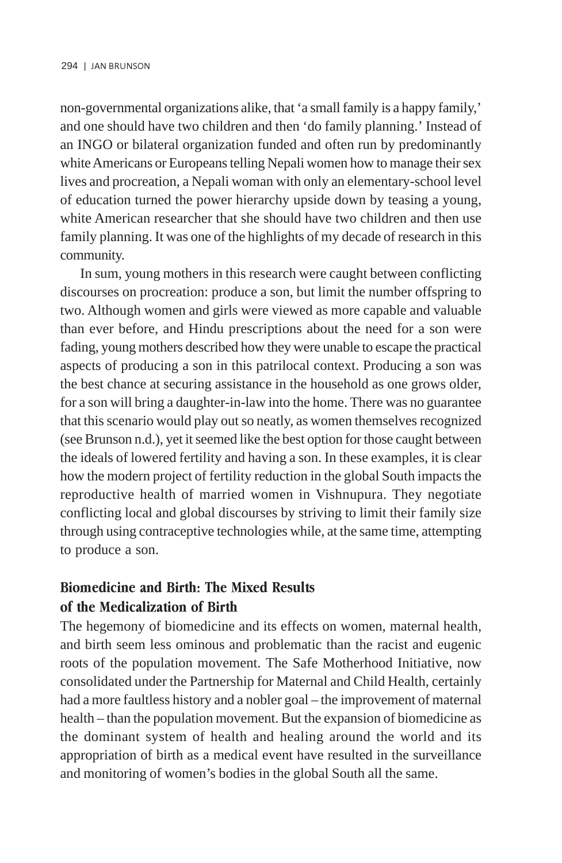non-governmental organizations alike, that 'a small family is a happy family,' and one should have two children and then 'do family planning.' Instead of an INGO or bilateral organization funded and often run by predominantly white Americans or Europeans telling Nepali women how to manage their sex lives and procreation, a Nepali woman with only an elementary-school level of education turned the power hierarchy upside down by teasing a young, white American researcher that she should have two children and then use family planning. It was one of the highlights of my decade of research in this community.

In sum, young mothers in this research were caught between conflicting discourses on procreation: produce a son, but limit the number offspring to two. Although women and girls were viewed as more capable and valuable than ever before, and Hindu prescriptions about the need for a son were fading, young mothers described how they were unable to escape the practical aspects of producing a son in this patrilocal context. Producing a son was the best chance at securing assistance in the household as one grows older, for a son will bring a daughter-in-law into the home. There was no guarantee that this scenario would play out so neatly, as women themselves recognized (see Brunson n.d.), yet it seemed like the best option for those caught between the ideals of lowered fertility and having a son. In these examples, it is clear how the modern project of fertility reduction in the global South impacts the reproductive health of married women in Vishnupura. They negotiate conflicting local and global discourses by striving to limit their family size through using contraceptive technologies while, at the same time, attempting to produce a son.

## Biomedicine and Birth: The Mixed Results of the Medicalization of Birth

The hegemony of biomedicine and its effects on women, maternal health, and birth seem less ominous and problematic than the racist and eugenic roots of the population movement. The Safe Motherhood Initiative, now consolidated under the Partnership for Maternal and Child Health, certainly had a more faultless history and a nobler goal – the improvement of maternal health – than the population movement. But the expansion of biomedicine as the dominant system of health and healing around the world and its appropriation of birth as a medical event have resulted in the surveillance and monitoring of women's bodies in the global South all the same.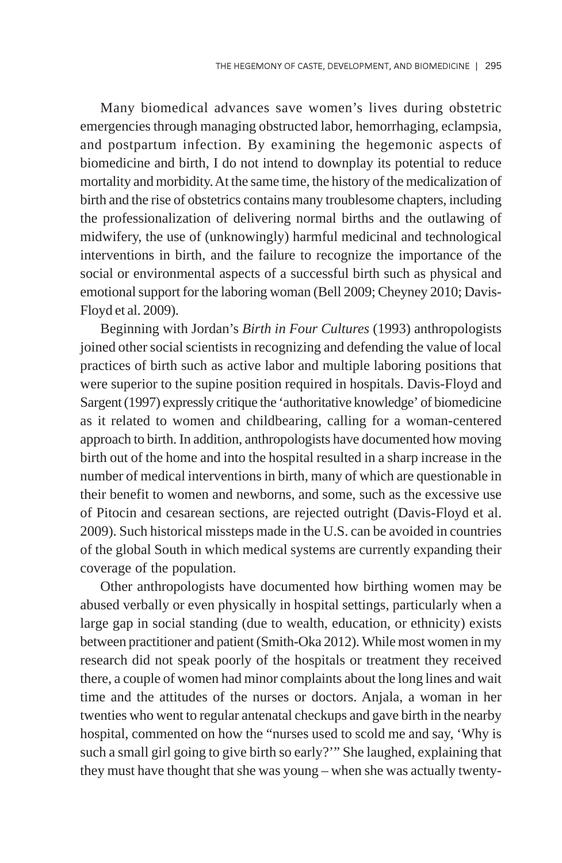Many biomedical advances save women's lives during obstetric emergencies through managing obstructed labor, hemorrhaging, eclampsia, and postpartum infection. By examining the hegemonic aspects of biomedicine and birth, I do not intend to downplay its potential to reduce mortality and morbidity. At the same time, the history of the medicalization of birth and the rise of obstetrics contains many troublesome chapters, including the professionalization of delivering normal births and the outlawing of midwifery, the use of (unknowingly) harmful medicinal and technological interventions in birth, and the failure to recognize the importance of the social or environmental aspects of a successful birth such as physical and emotional support for the laboring woman (Bell 2009; Cheyney 2010; Davis-Floyd et al. 2009).

Beginning with Jordan's *Birth in Four Cultures* (1993) anthropologists joined other social scientists in recognizing and defending the value of local practices of birth such as active labor and multiple laboring positions that were superior to the supine position required in hospitals. Davis-Floyd and Sargent (1997) expressly critique the 'authoritative knowledge' of biomedicine as it related to women and childbearing, calling for a woman-centered approach to birth. In addition, anthropologists have documented how moving birth out of the home and into the hospital resulted in a sharp increase in the number of medical interventions in birth, many of which are questionable in their benefit to women and newborns, and some, such as the excessive use of Pitocin and cesarean sections, are rejected outright (Davis-Floyd et al. 2009). Such historical missteps made in the U.S. can be avoided in countries of the global South in which medical systems are currently expanding their coverage of the population.

Other anthropologists have documented how birthing women may be abused verbally or even physically in hospital settings, particularly when a large gap in social standing (due to wealth, education, or ethnicity) exists between practitioner and patient (Smith-Oka 2012). While most women in my research did not speak poorly of the hospitals or treatment they received there, a couple of women had minor complaints about the long lines and wait time and the attitudes of the nurses or doctors. Anjala, a woman in her twenties who went to regular antenatal checkups and gave birth in the nearby hospital, commented on how the "nurses used to scold me and say, 'Why is such a small girl going to give birth so early?'" She laughed, explaining that they must have thought that she was young – when she was actually twenty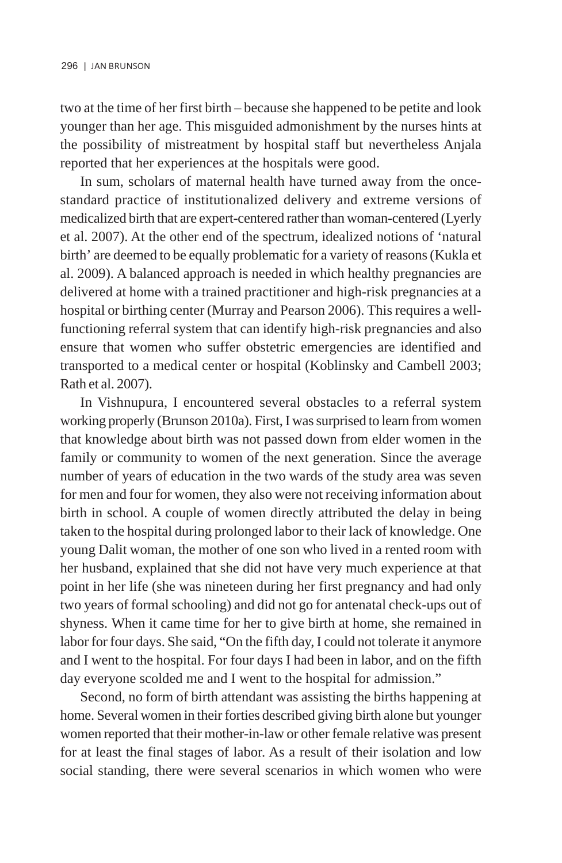two at the time of her first birth – because she happened to be petite and look younger than her age. This misguided admonishment by the nurses hints at the possibility of mistreatment by hospital staff but nevertheless Anjala reported that her experiences at the hospitals were good.

In sum, scholars of maternal health have turned away from the oncestandard practice of institutionalized delivery and extreme versions of medicalized birth that are expert-centered rather than woman-centered (Lyerly et al. 2007). At the other end of the spectrum, idealized notions of 'natural birth' are deemed to be equally problematic for a variety of reasons (Kukla et al. 2009). A balanced approach is needed in which healthy pregnancies are delivered at home with a trained practitioner and high-risk pregnancies at a hospital or birthing center (Murray and Pearson 2006). This requires a wellfunctioning referral system that can identify high-risk pregnancies and also ensure that women who suffer obstetric emergencies are identified and transported to a medical center or hospital (Koblinsky and Cambell 2003; Rath et al. 2007).

In Vishnupura, I encountered several obstacles to a referral system working properly (Brunson 2010a). First, I was surprised to learn from women that knowledge about birth was not passed down from elder women in the family or community to women of the next generation. Since the average number of years of education in the two wards of the study area was seven for men and four for women, they also were not receiving information about birth in school. A couple of women directly attributed the delay in being taken to the hospital during prolonged labor to their lack of knowledge. One young Dalit woman, the mother of one son who lived in a rented room with her husband, explained that she did not have very much experience at that point in her life (she was nineteen during her first pregnancy and had only two years of formal schooling) and did not go for antenatal check-ups out of shyness. When it came time for her to give birth at home, she remained in labor for four days. She said, "On the fifth day, I could not tolerate it anymore and I went to the hospital. For four days I had been in labor, and on the fifth day everyone scolded me and I went to the hospital for admission."

Second, no form of birth attendant was assisting the births happening at home. Several women in their forties described giving birth alone but younger women reported that their mother-in-law or other female relative was present for at least the final stages of labor. As a result of their isolation and low social standing, there were several scenarios in which women who were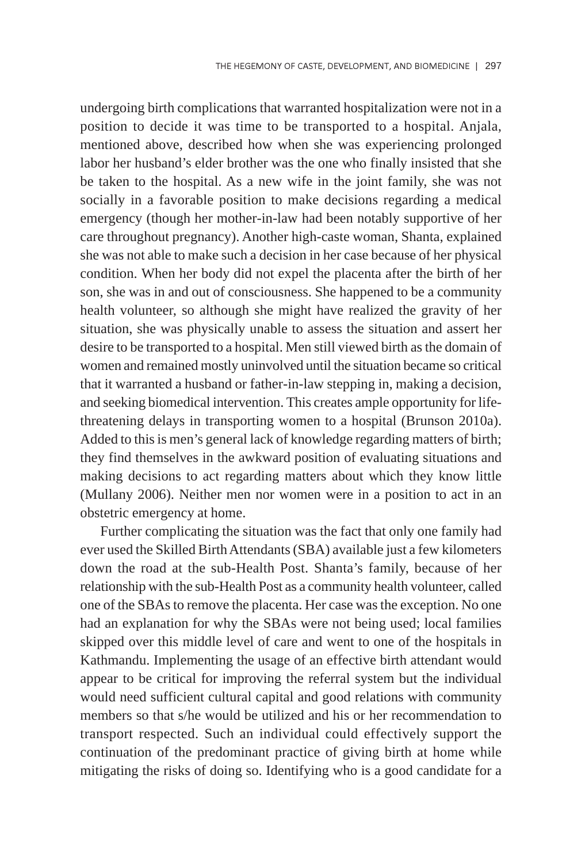undergoing birth complications that warranted hospitalization were not in a position to decide it was time to be transported to a hospital. Anjala, mentioned above, described how when she was experiencing prolonged labor her husband's elder brother was the one who finally insisted that she be taken to the hospital. As a new wife in the joint family, she was not socially in a favorable position to make decisions regarding a medical emergency (though her mother-in-law had been notably supportive of her care throughout pregnancy). Another high-caste woman, Shanta, explained she was not able to make such a decision in her case because of her physical condition. When her body did not expel the placenta after the birth of her son, she was in and out of consciousness. She happened to be a community health volunteer, so although she might have realized the gravity of her situation, she was physically unable to assess the situation and assert her desire to be transported to a hospital. Men still viewed birth as the domain of women and remained mostly uninvolved until the situation became so critical that it warranted a husband or father-in-law stepping in, making a decision, and seeking biomedical intervention. This creates ample opportunity for lifethreatening delays in transporting women to a hospital (Brunson 2010a). Added to this is men's general lack of knowledge regarding matters of birth; they find themselves in the awkward position of evaluating situations and making decisions to act regarding matters about which they know little (Mullany 2006). Neither men nor women were in a position to act in an obstetric emergency at home.

Further complicating the situation was the fact that only one family had ever used the Skilled Birth Attendants (SBA) available just a few kilometers down the road at the sub-Health Post. Shanta's family, because of her relationship with the sub-Health Post as a community health volunteer, called one of the SBAs to remove the placenta. Her case was the exception. No one had an explanation for why the SBAs were not being used; local families skipped over this middle level of care and went to one of the hospitals in Kathmandu. Implementing the usage of an effective birth attendant would appear to be critical for improving the referral system but the individual would need sufficient cultural capital and good relations with community members so that s/he would be utilized and his or her recommendation to transport respected. Such an individual could effectively support the continuation of the predominant practice of giving birth at home while mitigating the risks of doing so. Identifying who is a good candidate for a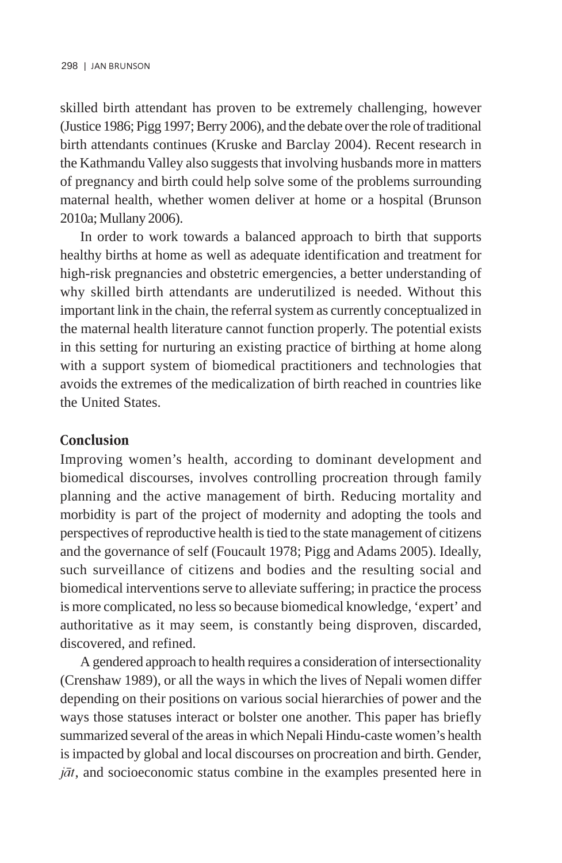skilled birth attendant has proven to be extremely challenging, however (Justice 1986; Pigg 1997; Berry 2006), and the debate over the role of traditional birth attendants continues (Kruske and Barclay 2004). Recent research in the Kathmandu Valley also suggests that involving husbands more in matters of pregnancy and birth could help solve some of the problems surrounding maternal health, whether women deliver at home or a hospital (Brunson 2010a; Mullany 2006).

In order to work towards a balanced approach to birth that supports healthy births at home as well as adequate identification and treatment for high-risk pregnancies and obstetric emergencies, a better understanding of why skilled birth attendants are underutilized is needed. Without this important link in the chain, the referral system as currently conceptualized in the maternal health literature cannot function properly. The potential exists in this setting for nurturing an existing practice of birthing at home along with a support system of biomedical practitioners and technologies that avoids the extremes of the medicalization of birth reached in countries like the United States.

### Conclusion

Improving women's health, according to dominant development and biomedical discourses, involves controlling procreation through family planning and the active management of birth. Reducing mortality and morbidity is part of the project of modernity and adopting the tools and perspectives of reproductive health is tied to the state management of citizens and the governance of self (Foucault 1978; Pigg and Adams 2005). Ideally, such surveillance of citizens and bodies and the resulting social and biomedical interventions serve to alleviate suffering; in practice the process is more complicated, no less so because biomedical knowledge, 'expert' and authoritative as it may seem, is constantly being disproven, discarded, discovered, and refined.

A gendered approach to health requires a consideration of intersectionality (Crenshaw 1989), or all the ways in which the lives of Nepali women differ depending on their positions on various social hierarchies of power and the ways those statuses interact or bolster one another. This paper has briefly summarized several of the areas in which Nepali Hindu-caste women's health is impacted by global and local discourses on procreation and birth. Gender,  $j\bar{a}t$ , and socioeconomic status combine in the examples presented here in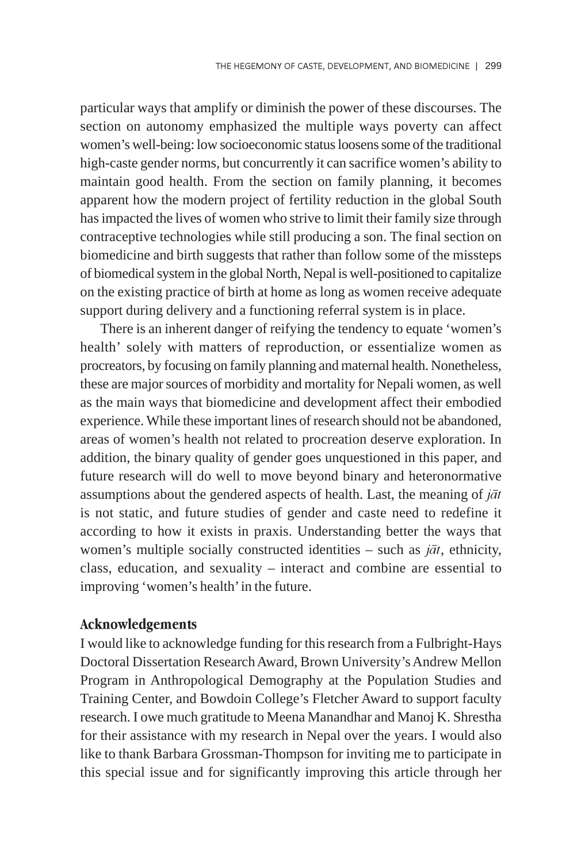particular ways that amplify or diminish the power of these discourses. The section on autonomy emphasized the multiple ways poverty can affect women's well-being: low socioeconomic status loosens some of the traditional high-caste gender norms, but concurrently it can sacrifice women's ability to maintain good health. From the section on family planning, it becomes apparent how the modern project of fertility reduction in the global South has impacted the lives of women who strive to limit their family size through contraceptive technologies while still producing a son. The final section on biomedicine and birth suggests that rather than follow some of the missteps of biomedical system in the global North, Nepal is well-positioned to capitalize on the existing practice of birth at home as long as women receive adequate support during delivery and a functioning referral system is in place.

There is an inherent danger of reifying the tendency to equate 'women's health' solely with matters of reproduction, or essentialize women as procreators, by focusing on family planning and maternal health. Nonetheless, these are major sources of morbidity and mortality for Nepali women, as well as the main ways that biomedicine and development affect their embodied experience. While these important lines of research should not be abandoned, areas of women's health not related to procreation deserve exploration. In addition, the binary quality of gender goes unquestioned in this paper, and future research will do well to move beyond binary and heteronormative assumptions about the gendered aspects of health. Last, the meaning of  $i\bar{a}t$ is not static, and future studies of gender and caste need to redefine it according to how it exists in praxis. Understanding better the ways that women's multiple socially constructed identities – such as  $j\bar{a}t$ , ethnicity, class, education, and sexuality – interact and combine are essential to improving 'women's health' in the future.

#### Acknowledgements

I would like to acknowledge funding for this research from a Fulbright-Hays Doctoral Dissertation Research Award, Brown University's Andrew Mellon Program in Anthropological Demography at the Population Studies and Training Center, and Bowdoin College's Fletcher Award to support faculty research. I owe much gratitude to Meena Manandhar and Manoj K. Shrestha for their assistance with my research in Nepal over the years. I would also like to thank Barbara Grossman-Thompson for inviting me to participate in this special issue and for significantly improving this article through her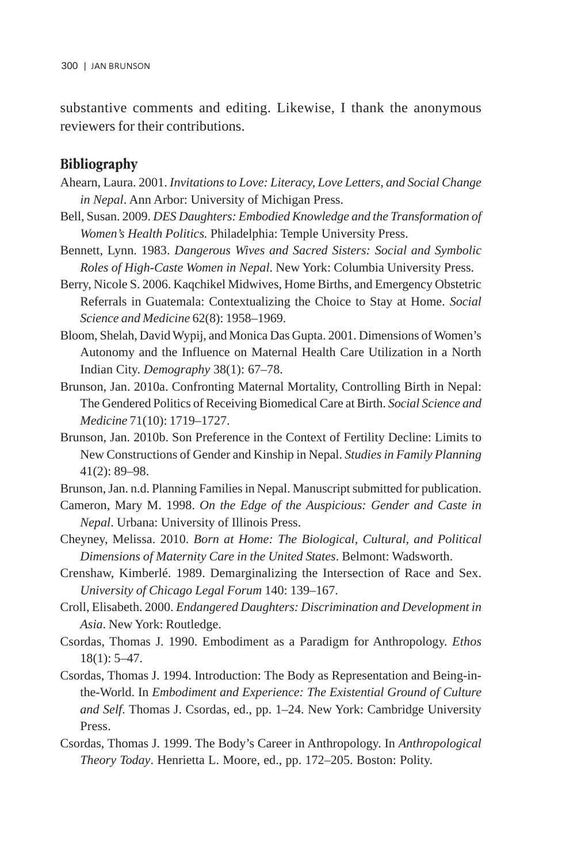substantive comments and editing. Likewise, I thank the anonymous reviewers for their contributions.

### Bibliography

- Ahearn, Laura. 2001. *Invitations to Love: Literacy, Love Letters, and Social Change in Nepal*. Ann Arbor: University of Michigan Press.
- Bell, Susan. 2009. *DES Daughters: Embodied Knowledge and the Transformation of Women's Health Politics.* Philadelphia: Temple University Press.
- Bennett, Lynn. 1983. *Dangerous Wives and Sacred Sisters: Social and Symbolic Roles of High-Caste Women in Nepal*. New York: Columbia University Press.
- Berry, Nicole S. 2006. Kaqchikel Midwives, Home Births, and Emergency Obstetric Referrals in Guatemala: Contextualizing the Choice to Stay at Home. *Social Science and Medicine* 62(8): 1958–1969.
- Bloom, Shelah, David Wypij, and Monica Das Gupta. 2001. Dimensions of Women's Autonomy and the Influence on Maternal Health Care Utilization in a North Indian City. *Demography* 38(1): 67–78.
- Brunson, Jan. 2010a. Confronting Maternal Mortality, Controlling Birth in Nepal: The Gendered Politics of Receiving Biomedical Care at Birth. *Social Science and Medicine* 71(10): 1719–1727.
- Brunson, Jan. 2010b. Son Preference in the Context of Fertility Decline: Limits to New Constructions of Gender and Kinship in Nepal. *Studies in Family Planning* 41(2): 89–98.
- Brunson, Jan. n.d. Planning Families in Nepal. Manuscript submitted for publication.
- Cameron, Mary M. 1998. *On the Edge of the Auspicious: Gender and Caste in Nepal*. Urbana: University of Illinois Press.
- Cheyney, Melissa. 2010. *Born at Home: The Biological, Cultural, and Political Dimensions of Maternity Care in the United States*. Belmont: Wadsworth.
- Crenshaw, Kimberlé. 1989. Demarginalizing the Intersection of Race and Sex. *University of Chicago Legal Forum* 140: 139–167.
- Croll, Elisabeth. 2000. *Endangered Daughters: Discrimination and Development in Asia*. New York: Routledge.
- Csordas, Thomas J. 1990. Embodiment as a Paradigm for Anthropology. *Ethos* 18(1): 5–47.
- Csordas, Thomas J. 1994. Introduction: The Body as Representation and Being-inthe-World. In *Embodiment and Experience: The Existential Ground of Culture and Self*. Thomas J. Csordas, ed., pp. 1–24. New York: Cambridge University Press.
- Csordas, Thomas J. 1999. The Body's Career in Anthropology. In *Anthropological Theory Today*. Henrietta L. Moore, ed., pp. 172–205. Boston: Polity.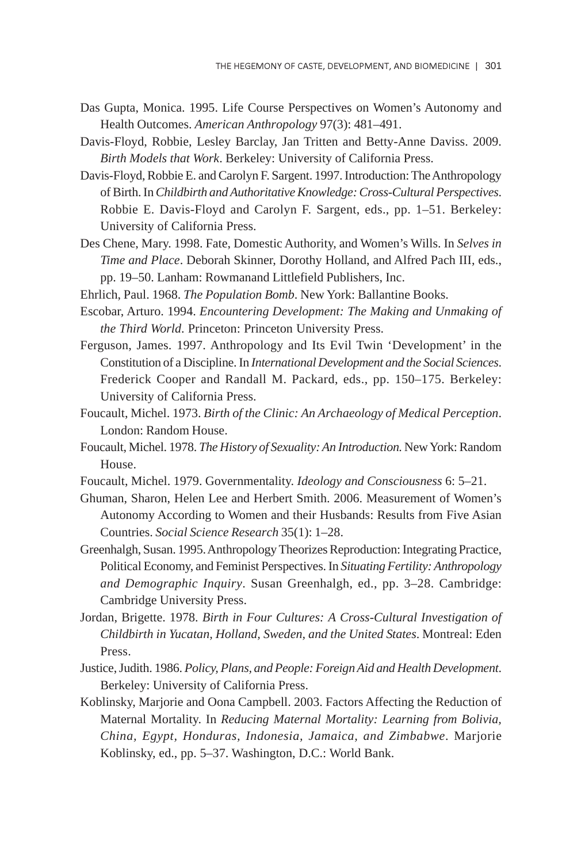- Das Gupta, Monica. 1995. Life Course Perspectives on Women's Autonomy and Health Outcomes. *American Anthropology* 97(3): 481–491.
- Davis-Floyd, Robbie, Lesley Barclay, Jan Tritten and Betty-Anne Daviss. 2009. *Birth Models that Work*. Berkeley: University of California Press.
- Davis-Floyd, Robbie E. and Carolyn F. Sargent. 1997. Introduction: The Anthropology of Birth. In *Childbirth and Authoritative Knowledge: Cross-Cultural Perspectives*. Robbie E. Davis-Floyd and Carolyn F. Sargent, eds., pp. 1–51. Berkeley: University of California Press.
- Des Chene, Mary. 1998. Fate, Domestic Authority, and Women's Wills. In *Selves in Time and Place*. Deborah Skinner, Dorothy Holland, and Alfred Pach III, eds., pp. 19–50. Lanham: Rowmanand Littlefield Publishers, Inc.
- Ehrlich, Paul. 1968. *The Population Bomb*. New York: Ballantine Books.
- Escobar, Arturo. 1994. *Encountering Development: The Making and Unmaking of the Third World*. Princeton: Princeton University Press.
- Ferguson, James. 1997. Anthropology and Its Evil Twin 'Development' in the Constitution of a Discipline. In *International Development and the Social Sciences*. Frederick Cooper and Randall M. Packard, eds., pp. 150–175. Berkeley: University of California Press.
- Foucault, Michel. 1973. *Birth of the Clinic: An Archaeology of Medical Perception*. London: Random House.
- Foucault, Michel. 1978. *The History of Sexuality: An Introduction.* New York: Random House.
- Foucault, Michel. 1979. Governmentality. *Ideology and Consciousness* 6: 5–21.
- Ghuman, Sharon, Helen Lee and Herbert Smith. 2006. Measurement of Women's Autonomy According to Women and their Husbands: Results from Five Asian Countries. *Social Science Research* 35(1): 1–28.
- Greenhalgh, Susan. 1995. Anthropology Theorizes Reproduction: Integrating Practice, Political Economy, and Feminist Perspectives. In *Situating Fertility: Anthropology and Demographic Inquiry*. Susan Greenhalgh, ed., pp. 3–28. Cambridge: Cambridge University Press.
- Jordan, Brigette. 1978. *Birth in Four Cultures: A Cross-Cultural Investigation of Childbirth in Yucatan, Holland, Sweden, and the United States*. Montreal: Eden Press.
- Justice, Judith. 1986. *Policy, Plans, and People: Foreign Aid and Health Development*. Berkeley: University of California Press.
- Koblinsky, Marjorie and Oona Campbell. 2003. Factors Affecting the Reduction of Maternal Mortality. In *Reducing Maternal Mortality: Learning from Bolivia, China, Egypt, Honduras, Indonesia, Jamaica, and Zimbabwe*. Marjorie Koblinsky, ed., pp. 5–37. Washington, D.C.: World Bank.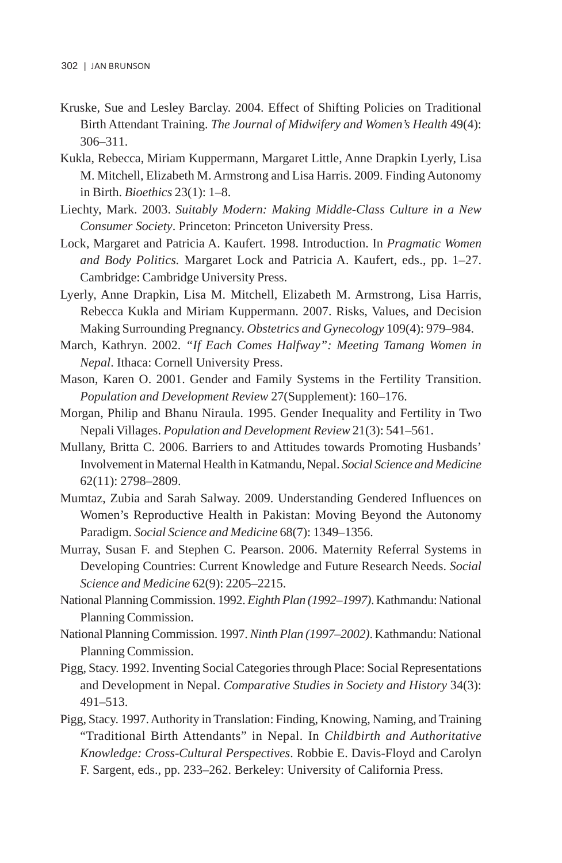- Kruske, Sue and Lesley Barclay. 2004. Effect of Shifting Policies on Traditional Birth Attendant Training. *The Journal of Midwifery and Women's Health* 49(4): 306–311.
- Kukla, Rebecca, Miriam Kuppermann, Margaret Little, Anne Drapkin Lyerly, Lisa M. Mitchell, Elizabeth M. Armstrong and Lisa Harris. 2009. Finding Autonomy in Birth. *Bioethics* 23(1): 1–8.
- Liechty, Mark. 2003. *Suitably Modern: Making Middle-Class Culture in a New Consumer Society*. Princeton: Princeton University Press.
- Lock, Margaret and Patricia A. Kaufert. 1998. Introduction. In *Pragmatic Women and Body Politics.* Margaret Lock and Patricia A. Kaufert, eds., pp. 1–27. Cambridge: Cambridge University Press.
- Lyerly, Anne Drapkin, Lisa M. Mitchell, Elizabeth M. Armstrong, Lisa Harris, Rebecca Kukla and Miriam Kuppermann. 2007. Risks, Values, and Decision Making Surrounding Pregnancy. *Obstetrics and Gynecology* 109(4): 979–984.
- March, Kathryn. 2002. *"If Each Comes Halfway": Meeting Tamang Women in Nepal*. Ithaca: Cornell University Press.
- Mason, Karen O. 2001. Gender and Family Systems in the Fertility Transition. *Population and Development Review* 27(Supplement): 160–176.
- Morgan, Philip and Bhanu Niraula. 1995. Gender Inequality and Fertility in Two Nepali Villages. *Population and Development Review* 21(3): 541–561.
- Mullany, Britta C. 2006. Barriers to and Attitudes towards Promoting Husbands' Involvement in Maternal Health in Katmandu, Nepal. *Social Science and Medicine* 62(11): 2798–2809.
- Mumtaz, Zubia and Sarah Salway. 2009. Understanding Gendered Influences on Women's Reproductive Health in Pakistan: Moving Beyond the Autonomy Paradigm. *Social Science and Medicine* 68(7): 1349–1356.
- Murray, Susan F. and Stephen C. Pearson. 2006. Maternity Referral Systems in Developing Countries: Current Knowledge and Future Research Needs. *Social Science and Medicine* 62(9): 2205–2215.
- National Planning Commission. 1992. *Eighth Plan (1992–1997)*. Kathmandu: National Planning Commission.
- National Planning Commission. 1997. *Ninth Plan (1997–2002)*. Kathmandu: National Planning Commission.
- Pigg, Stacy. 1992. Inventing Social Categories through Place: Social Representations and Development in Nepal. *Comparative Studies in Society and History* 34(3): 491–513.
- Pigg, Stacy. 1997. Authority in Translation: Finding, Knowing, Naming, and Training "Traditional Birth Attendants" in Nepal. In *Childbirth and Authoritative Knowledge: Cross-Cultural Perspectives*. Robbie E. Davis-Floyd and Carolyn F. Sargent, eds., pp. 233–262. Berkeley: University of California Press.